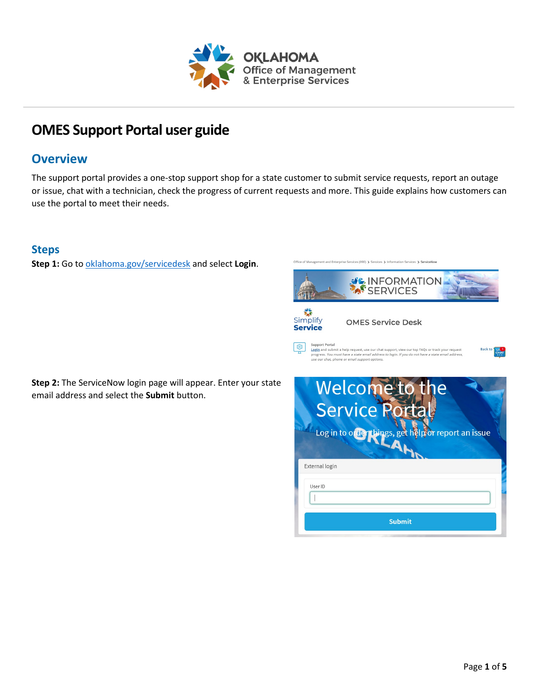

# **OMES Support Portal user guide**

# **Overview**

The support portal provides a one-stop support shop for a state customer to submit service requests, report an outage or issue, chat with a technician, check the progress of current requests and more. This guide explains how customers can use the portal to meet their needs.

### **Steps**

**Step 1:** Go to [oklahoma.gov/servicedesk](https://oklahoma.gov/servicedesk) and select **Login**.

Office of Management and Enterprise Services (090) > Services > Information Services > ServiceNov



**Step 2:** The ServiceNow login page will appear. Enter your state email address and select the **Submit** button.

| Welcome<br>e<br><b>Service</b><br>Log in to order things, get helpfor report an issue |
|---------------------------------------------------------------------------------------|
| External login                                                                        |
| User ID                                                                               |
| <b>Submit</b>                                                                         |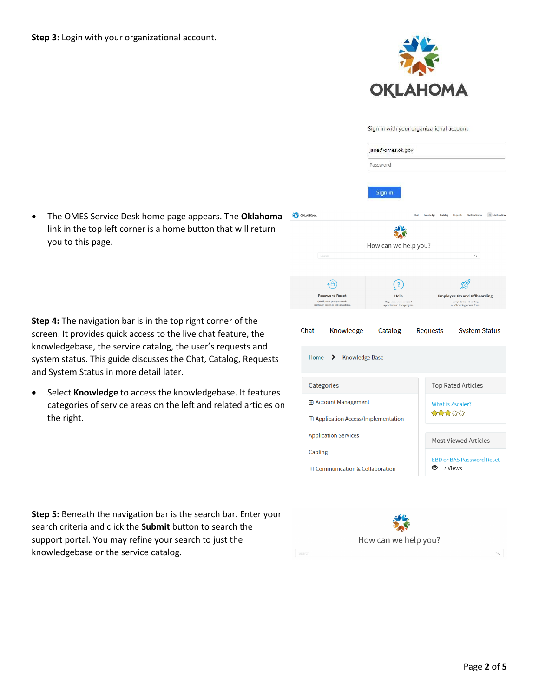

|                                                                                                 | Sign in with your organizational account                             |                                 |                                                                                               |
|-------------------------------------------------------------------------------------------------|----------------------------------------------------------------------|---------------------------------|-----------------------------------------------------------------------------------------------|
|                                                                                                 | jane@omes.ok.gov                                                     |                                 |                                                                                               |
|                                                                                                 | Password                                                             |                                 |                                                                                               |
| OKLAHOMA                                                                                        | Sign in                                                              | Chat Knowledge Catalog Requests | <b>System Status</b><br>Joshua Grave                                                          |
|                                                                                                 |                                                                      |                                 |                                                                                               |
|                                                                                                 | How can we help you?                                                 |                                 |                                                                                               |
| Search                                                                                          |                                                                      |                                 | $\alpha$                                                                                      |
|                                                                                                 |                                                                      |                                 |                                                                                               |
|                                                                                                 |                                                                      |                                 |                                                                                               |
| <b>Password Reset</b><br>Quickly reset your passwords<br>and regain access to critical systems. | Help<br>Request a service or report<br>a problem and track progress. |                                 | <b>Employee On and Offboarding</b><br>Complete the onboarding<br>or offboarding request form. |
| Chat<br>Knowledge                                                                               | Catalog                                                              | Requests                        | <b>System Status</b>                                                                          |
|                                                                                                 |                                                                      |                                 |                                                                                               |
| Home $\sum$<br><b>Knowledge Base</b>                                                            |                                                                      |                                 |                                                                                               |
|                                                                                                 |                                                                      |                                 |                                                                                               |
| Categories                                                                                      |                                                                      |                                 | <b>Top Rated Articles</b>                                                                     |
| <b>E</b> Account Management                                                                     |                                                                      |                                 | <b>What is Zscaler?</b>                                                                       |
| <b>E Application Access/Implementation</b>                                                      |                                                                      | ₩₩₩₩                            |                                                                                               |
| <b>Application Services</b>                                                                     |                                                                      |                                 | <b>Most Viewed Articles</b>                                                                   |
| Cabling                                                                                         |                                                                      |                                 | <b>EBD or BAS Password Reset</b>                                                              |
| 田 Communication & Collaboration                                                                 |                                                                      | $\bullet$ 17 Views              |                                                                                               |

• The OMES Service Desk home page appears. The **Oklahoma**  link in the top left corner is a home button that will return you to this page.

**Step 4:** The navigation bar is in the top right corner of the screen. It provides quick access to the live chat feature, the knowledgebase, the service catalog, the user's requests and system status. This guide discusses the Chat, Catalog, Requests and System Status in more detail later.

• Select **Knowledge** to access the knowledgebase. It features categories of service areas on the left and related articles on the right.

**Step 5:** Beneath the navigation bar is the search bar. Enter your search criteria and click the **Submit** button to search the support portal. You may refine your search to just the knowledgebase or the service catalog.

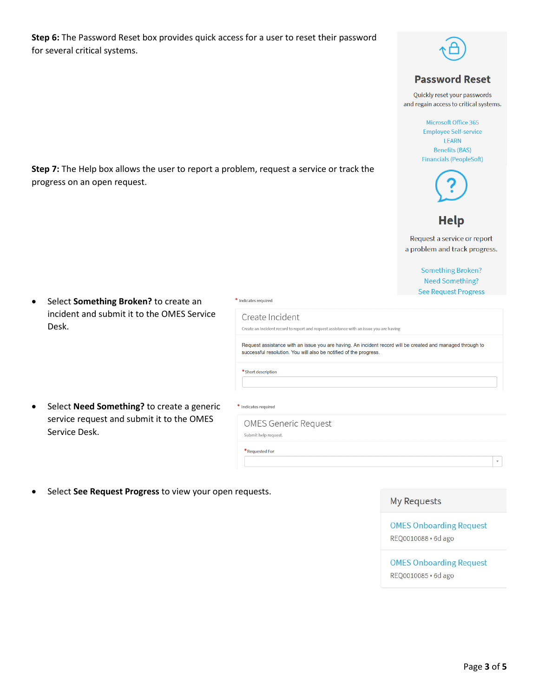Step 6: The Password Reset box provides quick access for a user to reset their password for several critical systems.

Step 7: The Help box allows the user to report a problem, request a service or track the



#### **Password Reset**

Quickly reset your passwords and regain access to critical systems.

> Microsoft Office 365 **Employee Self-service** LEARN **Benefits (BAS) Financials (PeopleSoft)**



# **Help**

Request a service or report a problem and track progress.

> **Something Broken? Need Something? See Request Progress**

Select Something Broken? to create an  $\bullet$ incident and submit it to the OMES Service Desk.

progress on an open request.

Select Need Something? to create a generic  $\bullet$ service request and submit it to the OMES Service Desk.

\* Indicates required

Create Incident Create an Incident record to report and request assistance with an issue you are having

Request assistance with an issue you are having. An incident record will be created and managed through to successful resolution. You will also be notified of the progress.

\* Indicates required

Submit help request.

 $*$  Short description

**OMES Generic Request** 

\* Requested For

Select See Request Progress to view your open requests.

#### **My Requests**

**OMES Onboarding Request** REQ0010088 · 6d ago

**OMES Onboarding Request** REQ0010085 · 6d ago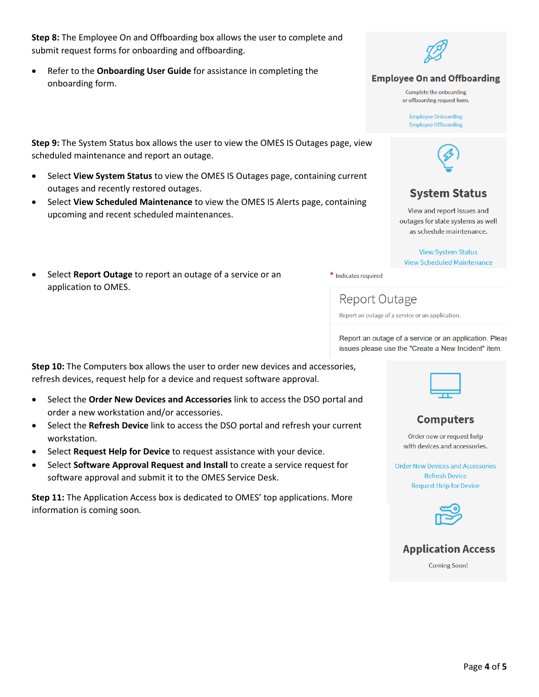**Step 8:** The Employee On and Offboarding box allows the user to complete and submit request forms for onboarding and offboarding.

• Refer to the **Onboarding User Guide** for assistance in completing the onboarding form.

**Step 9:** The System Status box allows the user to view the OMES IS Outages page, view scheduled maintenance and report an outage.

- Select **View System Status** to view the OMES IS Outages page, containing current outages and recently restored outages.
- Select **View Scheduled Maintenance** to view the OMES IS Alerts page, containing upcoming and recent scheduled maintenances.
- Select **Report Outage** to report an outage of a service or an application to OMES.



**Employee On and Offboarding** 

Complete the ophoarding or offboarding request form.

**Employee Onboarding Employee Offboarding** 



# **System Status**

View and report issues and outages for state systems as well as schedule maintenance.

**View System Status View Scheduled Maintenance** 

\* Indicates required

Report Outage

Report an outage of a service or an application.

Report an outage of a service or an application. Pleas issues please use the "Create a New Incident" item.

**Step 10:** The Computers box allows the user to order new devices and accessories, refresh devices, request help for a device and request software approval.

- Select the **Order New Devices and Accessories** link to access the DSO portal and order a new workstation and/or accessories.
- Select the **Refresh Device** link to access the DSO portal and refresh your current workstation.
- Select **Request Help for Device** to request assistance with your device.
- Select **Software Approval Request and Install** to create a service request for software approval and submit it to the OMES Service Desk.

**Step 11:** The Application Access box is dedicated to OMES' top applications. More information is coming soon.



## **Computers**

Order new or request help with devices and accessories.

**Order New Devices and Accessories Refresh Device Request Help for Device** 





Coming Soon!